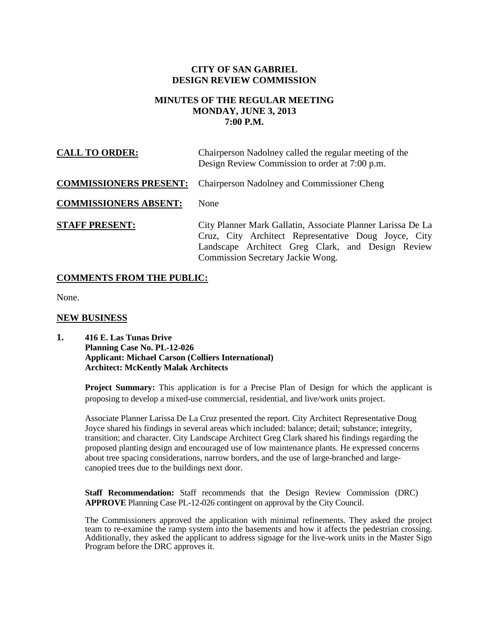# **CITY OF SAN GABRIEL DESIGN REVIEW COMMISSION**

# **MINUTES OF THE REGULAR MEETING MONDAY, JUNE 3, 2013 7:00 P.M.**

| <b>CALL TO ORDER:</b>         | Chairperson Nadolney called the regular meeting of the<br>Design Review Commission to order at 7:00 p.m.                                                                                                      |
|-------------------------------|---------------------------------------------------------------------------------------------------------------------------------------------------------------------------------------------------------------|
| <b>COMMISSIONERS PRESENT:</b> | <b>Chairperson Nadolney and Commissioner Cheng</b>                                                                                                                                                            |
| <b>COMMISSIONERS ABSENT:</b>  | None                                                                                                                                                                                                          |
| <b>STAFF PRESENT:</b>         | City Planner Mark Gallatin, Associate Planner Larissa De La<br>Cruz, City Architect Representative Doug Joyce, City<br>Landscape Architect Greg Clark, and Design Review<br>Commission Secretary Jackie Wong. |

# **COMMENTS FROM THE PUBLIC:**

None.

### **NEW BUSINESS**

**1. 416 E. Las Tunas Drive Planning Case No. PL-12-026 Applicant: Michael Carson (Colliers International) Architect: McKently Malak Architects**

> **Project Summary:** This application is for a Precise Plan of Design for which the applicant is proposing to develop a mixed-use commercial, residential, and live/work units project.

Associate Planner Larissa De La Cruz presented the report. City Architect Representative Doug Joyce shared his findings in several areas which included: balance; detail; substance; integrity, transition; and character. City Landscape Architect Greg Clark shared his findings regarding the proposed planting design and encouraged use of low maintenance plants. He expressed concerns about tree spacing considerations, narrow borders, and the use of large-branched and largecanopied trees due to the buildings next door.

**Staff Recommendation:** Staff recommends that the Design Review Commission (DRC) **APPROVE** Planning Case PL-12-026 contingent on approval by the City Council.

The Commissioners approved the application with minimal refinements. They asked the project team to re-examine the ramp system into the basements and how it affects the pedestrian crossing. Additionally, they asked the applicant to address signage for the live-work units in the Master Sign Program before the DRC approves it.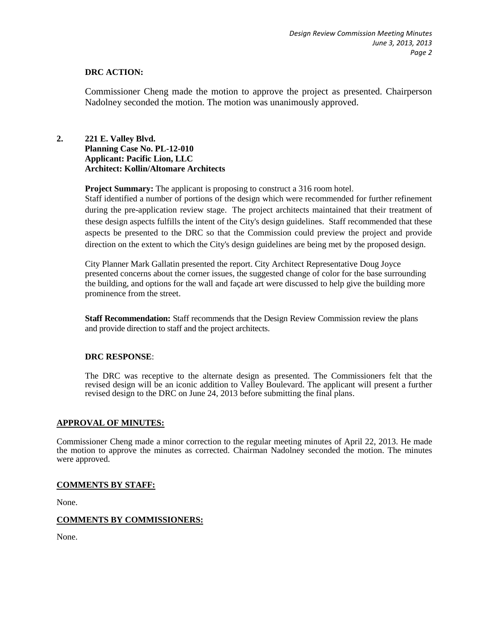### **DRC ACTION:**

Commissioner Cheng made the motion to approve the project as presented. Chairperson Nadolney seconded the motion. The motion was unanimously approved.

# **2. 221 E. Valley Blvd. Planning Case No. PL-12-010 Applicant: Pacific Lion, LLC Architect: Kollin/Altomare Architects**

**Project Summary:** The applicant is proposing to construct a 316 room hotel.

Staff identified a number of portions of the design which were recommended for further refinement during the pre-application review stage. The project architects maintained that their treatment of these design aspects fulfills the intent of the City's design guidelines. Staff recommended that these aspects be presented to the DRC so that the Commission could preview the project and provide direction on the extent to which the City's design guidelines are being met by the proposed design.

City Planner Mark Gallatin presented the report. City Architect Representative Doug Joyce presented concerns about the corner issues, the suggested change of color for the base surrounding the building, and options for the wall and façade art were discussed to help give the building more prominence from the street.

**Staff Recommendation:** Staff recommends that the Design Review Commission review the plans and provide direction to staff and the project architects.

#### **DRC RESPONSE**:

The DRC was receptive to the alternate design as presented. The Commissioners felt that the revised design will be an iconic addition to Valley Boulevard. The applicant will present a further revised design to the DRC on June 24, 2013 before submitting the final plans.

#### **APPROVAL OF MINUTES:**

Commissioner Cheng made a minor correction to the regular meeting minutes of April 22, 2013. He made the motion to approve the minutes as corrected. Chairman Nadolney seconded the motion. The minutes were approved.

### **COMMENTS BY STAFF:**

None.

#### **COMMENTS BY COMMISSIONERS:**

None.